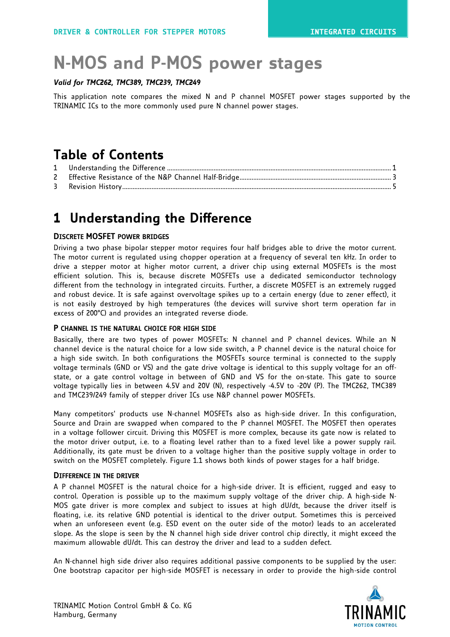# **N-MOS and P-MOS power stages**

#### *Valid for TMC262, TMC389, TMC239, TMC249*

This application note compares the mixed N and P channel MOSFET power stages supported by the TRINAMIC ICs to the more commonly used pure N channel power stages.

### **Table of Contents**

| $\mathsf{2}$ |  |
|--------------|--|
|              |  |

### **1 Understanding the Difference**

#### **DISCRETE MOSFET POWER BRIDGES**

Driving a two phase bipolar stepper motor requires four half bridges able to drive the motor current. The motor current is regulated using chopper operation at a frequency of several ten kHz. In order to drive a stepper motor at higher motor current, a driver chip using external MOSFETs is the most efficient solution. This is, because discrete MOSFETs use a dedicated semiconductor technology different from the technology in integrated circuits. Further, a discrete MOSFET is an extremely rugged and robust device. It is safe against overvoltage spikes up to a certain energy (due to zener effect), it is not easily destroyed by high temperatures (the devices will survive short term operation far in excess of 200°C) and provides an integrated reverse diode.

#### **P CHANNEL IS THE NATURAL CHOICE FOR HIGH SIDE**

Basically, there are two types of power MOSFETs: N channel and P channel devices. While an N channel device is the natural choice for a low side switch, a P channel device is the natural choice for a high side switch. In both configurations the MOSFETs source terminal is connected to the supply voltage terminals (GND or VS) and the gate drive voltage is identical to this supply voltage for an offstate, or a gate control voltage in between of GND and VS for the on-state. This gate to source voltage typically lies in between 4.5V and 20V (N), respectively -4.5V to -20V (P). The TMC262, TMC389 and TMC239/249 family of stepper driver ICs use N&P channel power MOSFETs.

Many competitors' products use N-channel MOSFETs also as high-side driver. In this configuration, Source and Drain are swapped when compared to the P channel MOSFET. The MOSFET then operates in a voltage follower circuit. Driving this MOSFET is more complex, because its gate now is related to the motor driver output, i.e. to a floating level rather than to a fixed level like a power supply rail. Additionally, its gate must be driven to a voltage higher than the positive supply voltage in order to switch on the MOSFET completely. [Figure 1.1](#page-1-0) shows both kinds of power stages for a half bridge.

#### **DIFFERENCE IN THE DRIVER**

A P channel MOSFET is the natural choice for a high-side driver. It is efficient, rugged and easy to control. Operation is possible up to the maximum supply voltage of the driver chip. A high-side N-MOS gate driver is more complex and subject to issues at high dU/dt, because the driver itself is floating, i.e. its relative GND potential is identical to the driver output. Sometimes this is perceived when an unforeseen event (e.g. ESD event on the outer side of the motor) leads to an accelerated slope. As the slope is seen by the N channel high side driver control chip directly, it might exceed the maximum allowable dU/dt. This can destroy the driver and lead to a sudden defect.

An N-channel high side driver also requires additional passive components to be supplied by the user: One bootstrap capacitor per high-side MOSFET is necessary in order to provide the high-side control

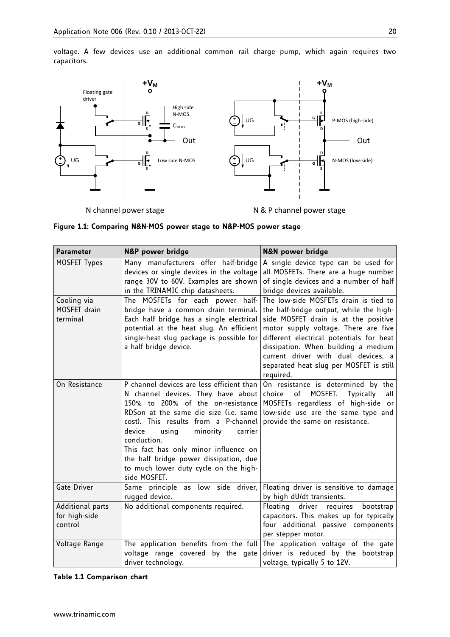

N channel power stage

N & P channel power stage

#### <span id="page-1-0"></span>**Figure 1.1: Comparing N&N-MOS power stage to N&P-MOS power stage**

| <b>Parameter</b>                                                                                                   | N&P power bridge                                                                                                                                                                                                                                                                                                                                                                                           | <b>N&amp;N power bridge</b>                                                                                                                                                                                                                                                                                                                        |  |
|--------------------------------------------------------------------------------------------------------------------|------------------------------------------------------------------------------------------------------------------------------------------------------------------------------------------------------------------------------------------------------------------------------------------------------------------------------------------------------------------------------------------------------------|----------------------------------------------------------------------------------------------------------------------------------------------------------------------------------------------------------------------------------------------------------------------------------------------------------------------------------------------------|--|
| MOSFET Types                                                                                                       | Many manufacturers offer half-bridge<br>devices or single devices in the voltage<br>range 30V to 60V. Examples are shown<br>in the TRINAMIC chip datasheets.                                                                                                                                                                                                                                               | A single device type can be used for<br>all MOSFETs. There are a huge number<br>of single devices and a number of half<br>bridge devices available.                                                                                                                                                                                                |  |
| Cooling via<br>MOSFET drain<br>terminal                                                                            | The MOSFETs for each power half-<br>bridge have a common drain terminal.<br>Each half bridge has a single electrical<br>potential at the heat slug. An efficient<br>single-heat slug package is possible for<br>a half bridge device.                                                                                                                                                                      | The low-side MOSFETs drain is tied to<br>the half-bridge output, while the high-<br>side MOSFET drain is at the positive<br>motor supply voltage. There are five<br>different electrical potentials for heat<br>dissipation. When building a medium<br>current driver with dual devices, a<br>separated heat slug per MOSFET is still<br>required. |  |
| On Resistance                                                                                                      | P channel devices are less efficient than<br>N channel devices. They have about<br>150% to 200% of the on-resistance<br>RDSon at the same die size (i.e. same<br>cost). This results from a P-channel<br>minority<br>device<br>using<br>carrier<br>conduction.<br>This fact has only minor influence on<br>the half bridge power dissipation, due<br>to much lower duty cycle on the high-<br>side MOSFET. | On resistance is determined by the<br>of<br>MOSFET.<br>choice<br><b>Typically</b><br>all<br>MOSFETs regardless of high-side or<br>low-side use are the same type and<br>provide the same on resistance.                                                                                                                                            |  |
| Gate Driver                                                                                                        | Same principle as low side driver,<br>rugged device.                                                                                                                                                                                                                                                                                                                                                       | Floating driver is sensitive to damage<br>by high dU/dt transients.                                                                                                                                                                                                                                                                                |  |
| Additional parts<br>for high-side<br>control                                                                       | No additional components required.                                                                                                                                                                                                                                                                                                                                                                         | Floating driver<br>requires<br>bootstrap<br>capacitors. This makes up for typically<br>four additional passive components<br>per stepper motor.                                                                                                                                                                                                    |  |
| The application benefits from the full<br>Voltage Range<br>voltage range covered by the gate<br>driver technology. |                                                                                                                                                                                                                                                                                                                                                                                                            | The application voltage of the gate<br>driver is reduced by the bootstrap<br>voltage, typically 5 to 12V.                                                                                                                                                                                                                                          |  |

#### **Table 1.1 Comparison chart**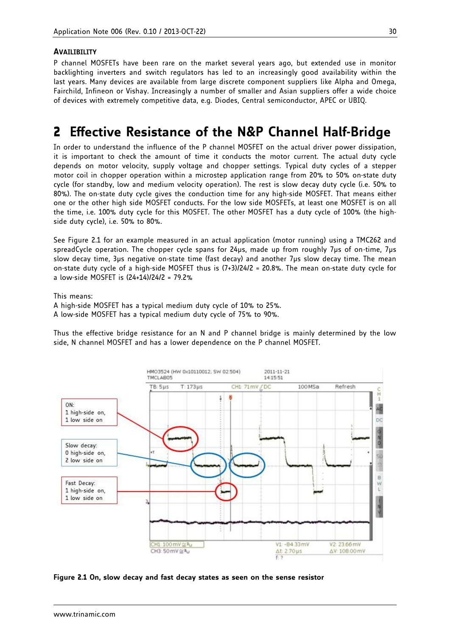#### **AVAILIBILITY**

P channel MOSFETs have been rare on the market several years ago, but extended use in monitor backlighting inverters and switch regulators has led to an increasingly good availability within the last years. Many devices are available from large discrete component suppliers like Alpha and Omega, Fairchild, Infineon or Vishay. Increasingly a number of smaller and Asian suppliers offer a wide choice of devices with extremely competitive data, e.g. Diodes, Central semiconductor, APEC or UBIQ.

### **2 Effective Resistance of the N&P Channel Half-Bridge**

In order to understand the influence of the P channel MOSFET on the actual driver power dissipation, it is important to check the amount of time it conducts the motor current. The actual duty cycle depends on motor velocity, supply voltage and chopper settings. Typical duty cycles of a stepper motor coil in chopper operation within a microstep application range from 20% to 50% on-state duty cycle (for standby, low and medium velocity operation). The rest is slow decay duty cycle (i.e. 50% to 80%). The on-state duty cycle gives the conduction time for any high-side MOSFET. That means either one or the other high side MOSFET conducts. For the low side MOSFETs, at least one MOSFET is on all the time, i.e. 100% duty cycle for this MOSFET. The other MOSFET has a duty cycle of 100% (the highside duty cycle), i.e. 50% to 80%.

See [Figure 2.1](#page-2-0) for an example measured in an actual application (motor running) using a TMC262 and spreadCycle operation. The chopper cycle spans for 24µs, made up from roughly 7µs of on-time, 7µs slow decay time, 3µs negative on-state time (fast decay) and another 7µs slow decay time. The mean on-state duty cycle of a high-side MOSFET thus is (7+3)/24/2 = 20.8%. The mean on-state duty cycle for a low-side MOSFET is (24+14)/24/2 = 79.2%

This means:

A high-side MOSFET has a typical medium duty cycle of 10% to 25%. A low-side MOSFET has a typical medium duty cycle of 75% to 90%.

Thus the effective bridge resistance for an N and P channel bridge is mainly determined by the low side, N channel MOSFET and has a lower dependence on the P channel MOSFET.



<span id="page-2-0"></span>**Figure 2.1 On, slow decay and fast decay states as seen on the sense resistor**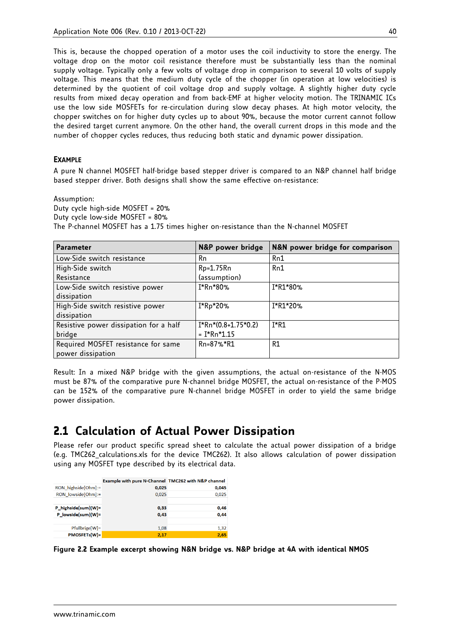This is, because the chopped operation of a motor uses the coil inductivity to store the energy. The voltage drop on the motor coil resistance therefore must be substantially less than the nominal supply voltage. Typically only a few volts of voltage drop in comparison to several 10 volts of supply voltage. This means that the medium duty cycle of the chopper (in operation at low velocities) is determined by the quotient of coil voltage drop and supply voltage. A slightly higher duty cycle results from mixed decay operation and from back-EMF at higher velocity motion. The TRINAMIC ICs use the low side MOSFETs for re-circulation during slow decay phases. At high motor velocity, the chopper switches on for higher duty cycles up to about 90%, because the motor current cannot follow the desired target current anymore. On the other hand, the overall current drops in this mode and the number of chopper cycles reduces, thus reducing both static and dynamic power dissipation.

#### **EXAMPLE**

A pure N channel MOSFET half-bridge based stepper driver is compared to an N&P channel half bridge based stepper driver. Both designs shall show the same effective on-resistance:

Assumption:

Duty cycle high-side MOSFET = 20% Duty cycle low-side MOSFET = 80% The P-channel MOSFET has a 1.75 times higher on-resistance than the N-channel MOSFET

| <b>Parameter</b>                       | N&P power bridge      | N&N power bridge for comparison |
|----------------------------------------|-----------------------|---------------------------------|
| Low-Side switch resistance             | Rn                    | Rn1                             |
| High-Side switch                       | Rp=1.75Rn             | Rn1                             |
| Resistance                             | (assumption)          |                                 |
| Low-Side switch resistive power        | I*Rn*80%              | I*R1*80%                        |
| dissipation                            |                       |                                 |
| High-Side switch resistive power       | I*Rp*20%              | I*R1*20%                        |
| dissipation                            |                       |                                 |
| Resistive power dissipation for a half | $I*Rn*(0.8+1.75*0.2)$ | $I*R1$                          |
| bridge                                 | = I*Rn*1.15           |                                 |
| Required MOSFET resistance for same    | Rn=87%*R1             | R1                              |
| power dissipation                      |                       |                                 |

Result: In a mixed N&P bridge with the given assumptions, the actual on-resistance of the N-MOS must be 87% of the comparative pure N-channel bridge MOSFET, the actual on-resistance of the P-MOS can be 152% of the comparative pure N-channel bridge MOSFET in order to yield the same bridge power dissipation.

### **2.1 Calculation of Actual Power Dissipation**

Please refer our product specific spread sheet to calculate the actual power dissipation of a bridge (e.g. TMC262\_calculations.xls for the device TMC262). It also allows calculation of power dissipation using any MOSFET type described by its electrical data.

|                                         | Example with pure N-Channel TMC262 with N&P channel |       |
|-----------------------------------------|-----------------------------------------------------|-------|
| RON highside[Ohm]:=                     | 0,025                                               | 0,045 |
| RON lowside[Ohm]:=                      | 0,025                                               | 0,025 |
|                                         |                                                     |       |
| $P_{highside}$ = P_highside (sum) [W] = | 0,33                                                | 0,46  |
| P lowside(sum)[W]=                      | 0.43                                                | 0,44  |
|                                         |                                                     |       |
| $Pfullbridge[W]=$                       | 1.08                                                | 1,32  |
| <b>PMOSFETs[W]=</b>                     | 2,17                                                | 2,65  |

**Figure 2.2 Example excerpt showing N&N bridge vs. N&P bridge at 4A with identical NMOS**